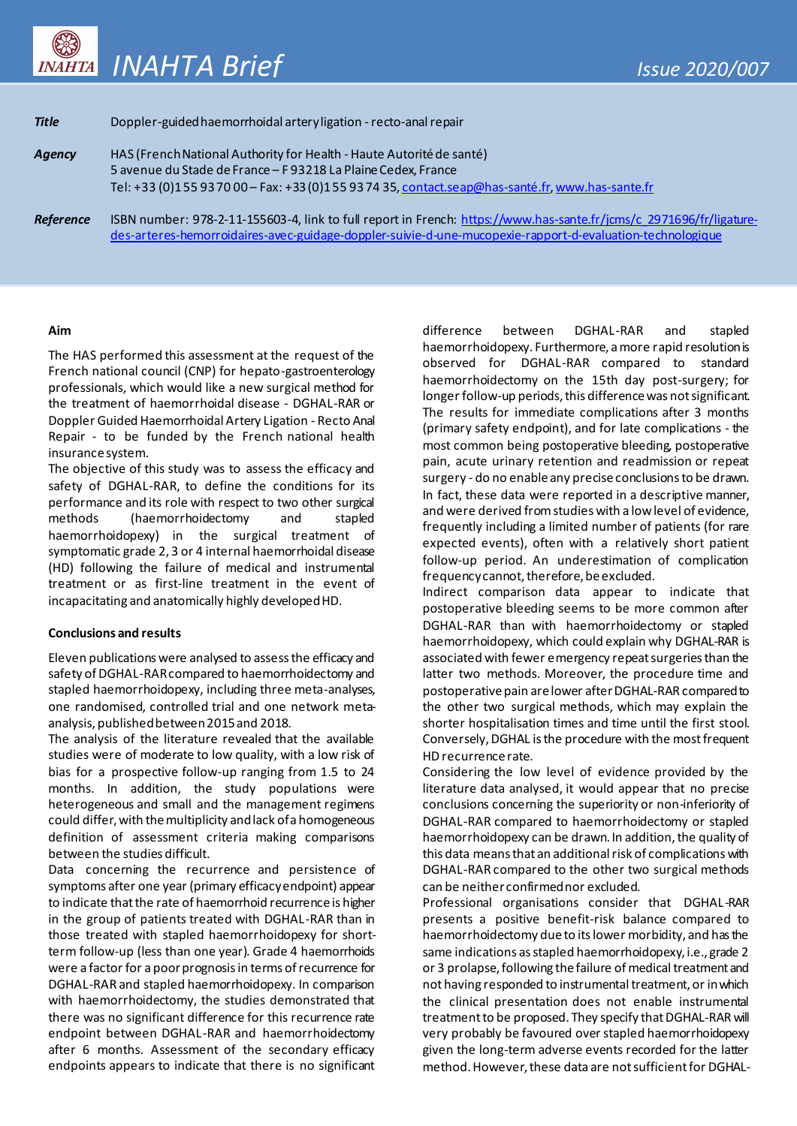

| <b>Title</b>     | Doppler-guided haemorrhoidal artery ligation - recto-anal repair                                                    |
|------------------|---------------------------------------------------------------------------------------------------------------------|
| Agency           | HAS (French National Authority for Health - Haute Autorité de santé)                                                |
|                  | 5 avenue du Stade de France - F 93218 La Plaine Cedex, France                                                       |
|                  | Tel: +33 (0)155 93 70 00 - Fax: +33 (0)155 93 74 35, contact.seap@has-santé.fr, www.has-sante.fr                    |
| <b>Reference</b> | ISBN number: 978-2-11-155603-4, link to full report in French: https://www.has-sante.fr/jcms/c 2971696/fr/ligature- |
|                  | des-arteres-hemorroidaires-avec-guidage-doppler-suivie-d-une-mucopexie-rapport-d-evaluation-technologique           |

## **Aim**

The HAS performed this assessment at the request of the French national council (CNP) for hepato-gastroenterology professionals, which would like a new surgical method for the treatment of haemorrhoidal disease - DGHAL-RAR or Doppler Guided Haemorrhoidal Artery Ligation - Recto Anal Repair - to be funded by the French national health insurance system.

The objective of this study was to assess the efficacy and safety of DGHAL-RAR, to define the conditions for its performance and its role with respect to two other surgical<br>methods (haemorrhoidectomy and stapled (haemorrhoidectomy and stapled haemorrhoidopexy) in the surgical treatment of symptomatic grade 2, 3 or 4 internal haemorrhoidal disease (HD) following the failure of medical and instrumental treatment or as first-line treatment in the event of incapacitating and anatomically highly developed HD.

### **Conclusions and results**

Eleven publications were analysed to assess the efficacy and safety of DGHAL-RAR compared to haemorrhoidectomy and stapled haemorrhoidopexy, including three meta-analyses, one randomised, controlled trial and one network metaanalysis, published between 2015 and 2018.

The analysis of the literature revealed that the available studies were of moderate to low quality, with a low risk of bias for a prospective follow-up ranging from 1.5 to 24 months. In addition, the study populations were heterogeneous and small and the management regimens could differ, with the multiplicity and lack of a homogeneous definition of assessment criteria making comparisons between the studies difficult.

Data concerning the recurrence and persistence of symptoms after one year (primary efficacy endpoint) appear to indicate that the rate of haemorrhoid recurrence is higher in the group of patients treated with DGHAL-RAR than in those treated with stapled haemorrhoidopexy for shortterm follow-up (less than one year). Grade 4 haemorrhoids were a factor for a poor prognosis in terms of recurrence for DGHAL-RAR and stapled haemorrhoidopexy. In comparison with haemorrhoidectomy, the studies demonstrated that there was no significant difference for this recurrence rate endpoint between DGHAL-RAR and haemorrhoidectomy after 6 months. Assessment of the secondary efficacy endpoints appears to indicate that there is no significant difference between DGHAL-RAR and stapled haemorrhoidopexy. Furthermore, a more rapid resolution is observed for DGHAL-RAR compared to standard haemorrhoidectomy on the 15th day post-surgery; for longer follow-up periods, this difference was not significant. The results for immediate complications after 3 months (primary safety endpoint), and for late complications - the most common being postoperative bleeding, postoperative pain, acute urinary retention and readmission or repeat surgery - do no enable any precise conclusions to be drawn. In fact, these data were reported in a descriptive manner, and were derived from studies with a low level of evidence, frequently including a limited number of patients (for rare expected events), often with a relatively short patient follow-up period. An underestimation of complication frequency cannot, therefore, be excluded.

Indirect comparison data appear to indicate that postoperative bleeding seems to be more common after DGHAL-RAR than with haemorrhoidectomy or stapled haemorrhoidopexy, which could explain why DGHAL-RAR is associated with fewer emergency repeat surgeries than the latter two methods. Moreover, the procedure time and postoperative pain are lower after DGHAL-RAR compared to the other two surgical methods, which may explain the shorter hospitalisation times and time until the first stool. Conversely, DGHAL is the procedure with the most frequent HD recurrence rate.

Considering the low level of evidence provided by the literature data analysed, it would appear that no precise conclusions concerning the superiority or non-inferiority of DGHAL-RAR compared to haemorrhoidectomy or stapled haemorrhoidopexy can be drawn. In addition, the quality of this data means that an additional risk of complications with DGHAL-RAR compared to the other two surgical methods can be neither confirmed nor excluded.

Professional organisations consider that DGHAL-RAR presents a positive benefit-risk balance compared to haemorrhoidectomy due to its lower morbidity, and has the same indications as stapled haemorrhoidopexy, i.e., grade 2 or 3 prolapse, following the failure of medical treatment and not having responded to instrumental treatment, or in which the clinical presentation does not enable instrumental treatment to be proposed. They specify that DGHAL-RAR will very probably be favoured over stapled haemorrhoidopexy given the long-term adverse events recorded for the latter method. However, these data are not sufficient for DGHAL-